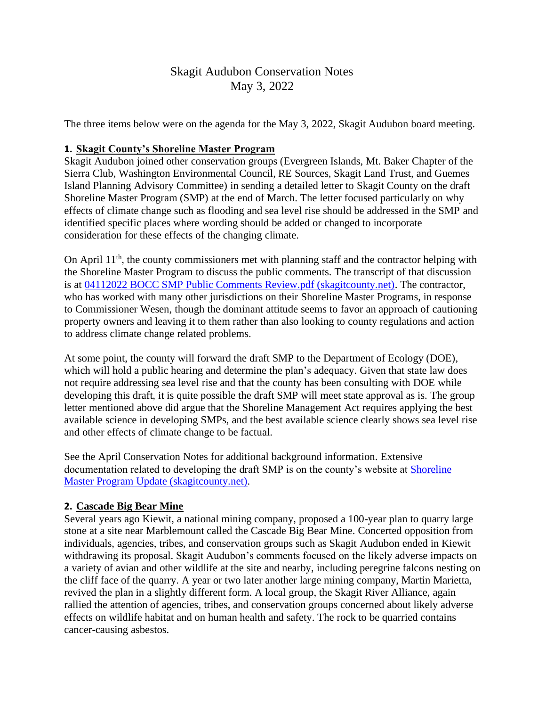# Skagit Audubon Conservation Notes May 3, 2022

The three items below were on the agenda for the May 3, 2022, Skagit Audubon board meeting.

## **1. Skagit County's Shoreline Master Program**

Skagit Audubon joined other conservation groups (Evergreen Islands, Mt. Baker Chapter of the Sierra Club, Washington Environmental Council, RE Sources, Skagit Land Trust, and Guemes Island Planning Advisory Committee) in sending a detailed letter to Skagit County on the draft Shoreline Master Program (SMP) at the end of March. The letter focused particularly on why effects of climate change such as flooding and sea level rise should be addressed in the SMP and identified specific places where wording should be added or changed to incorporate consideration for these effects of the changing climate.

On April 11<sup>th</sup>, the county commissioners met with planning staff and the contractor helping with the Shoreline Master Program to discuss the public comments. The transcript of that discussion is at [04112022 BOCC SMP Public Comments Review.pdf \(skagitcounty.net\).](https://www.skagitcounty.net/PlanningAndPermit/Documents/SMP/04112022%20BOCC%20SMP%20Public%20Comments%20Review.pdf) The contractor, who has worked with many other jurisdictions on their Shoreline Master Programs, in response to Commissioner Wesen, though the dominant attitude seems to favor an approach of cautioning property owners and leaving it to them rather than also looking to county regulations and action to address climate change related problems.

At some point, the county will forward the draft SMP to the Department of Ecology (DOE), which will hold a public hearing and determine the plan's adequacy. Given that state law does not require addressing sea level rise and that the county has been consulting with DOE while developing this draft, it is quite possible the draft SMP will meet state approval as is. The group letter mentioned above did argue that the Shoreline Management Act requires applying the best available science in developing SMPs, and the best available science clearly shows sea level rise and other effects of climate change to be factual.

See the April Conservation Notes for additional background information. Extensive documentation related to developing the draft SMP is on the county's website at **Shoreline** [Master Program Update \(skagitcounty.net\).](https://www.skagitcounty.net/Departments/PlanningAndPermit/SMPmain.htm)

## **2. Cascade Big Bear Mine**

Several years ago Kiewit, a national mining company, proposed a 100-year plan to quarry large stone at a site near Marblemount called the Cascade Big Bear Mine. Concerted opposition from individuals, agencies, tribes, and conservation groups such as Skagit Audubon ended in Kiewit withdrawing its proposal. Skagit Audubon's comments focused on the likely adverse impacts on a variety of avian and other wildlife at the site and nearby, including peregrine falcons nesting on the cliff face of the quarry. A year or two later another large mining company, Martin Marietta, revived the plan in a slightly different form. A local group, the Skagit River Alliance, again rallied the attention of agencies, tribes, and conservation groups concerned about likely adverse effects on wildlife habitat and on human health and safety. The rock to be quarried contains cancer-causing asbestos.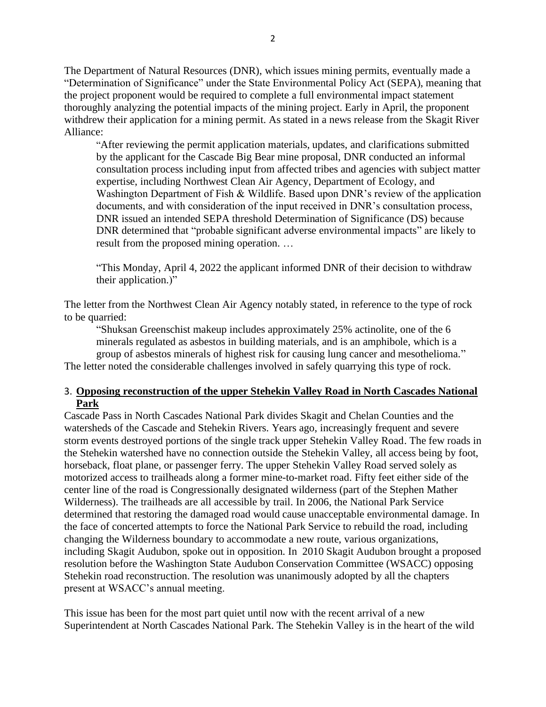The Department of Natural Resources (DNR), which issues mining permits, eventually made a "Determination of Significance" under the State Environmental Policy Act (SEPA), meaning that the project proponent would be required to complete a full environmental impact statement thoroughly analyzing the potential impacts of the mining project. Early in April, the proponent withdrew their application for a mining permit. As stated in a news release from the Skagit River Alliance:

"After reviewing the permit application materials, updates, and clarifications submitted by the applicant for the Cascade Big Bear mine proposal, DNR conducted an informal consultation process including input from affected tribes and agencies with subject matter expertise, including Northwest Clean Air Agency, Department of Ecology, and Washington Department of Fish & Wildlife. Based upon DNR's review of the application documents, and with consideration of the input received in DNR's consultation process, DNR issued an intended SEPA threshold Determination of Significance (DS) because DNR determined that "probable significant adverse environmental impacts" are likely to result from the proposed mining operation. …

"This Monday, April 4, 2022 the applicant informed DNR of their decision to withdraw their application.)"

The letter from the Northwest Clean Air Agency notably stated, in reference to the type of rock to be quarried:

"Shuksan Greenschist makeup includes approximately 25% actinolite, one of the 6 minerals regulated as asbestos in building materials, and is an amphibole, which is a group of asbestos minerals of highest risk for causing lung cancer and mesothelioma."

The letter noted the considerable challenges involved in safely quarrying this type of rock.

#### 3. **Opposing reconstruction of the upper Stehekin Valley Road in North Cascades National Park**

Cascade Pass in North Cascades National Park divides Skagit and Chelan Counties and the watersheds of the Cascade and Stehekin Rivers. Years ago, increasingly frequent and severe storm events destroyed portions of the single track upper Stehekin Valley Road. The few roads in the Stehekin watershed have no connection outside the Stehekin Valley, all access being by foot, horseback, float plane, or passenger ferry. The upper Stehekin Valley Road served solely as motorized access to trailheads along a former mine-to-market road. Fifty feet either side of the center line of the road is Congressionally designated wilderness (part of the Stephen Mather Wilderness). The trailheads are all accessible by trail. In 2006, the National Park Service determined that restoring the damaged road would cause unacceptable environmental damage. In the face of concerted attempts to force the National Park Service to rebuild the road, including changing the Wilderness boundary to accommodate a new route, various organizations, including Skagit Audubon, spoke out in opposition. In 2010 Skagit Audubon brought a proposed resolution before the Washington State Audubon Conservation Committee (WSACC) opposing Stehekin road reconstruction. The resolution was unanimously adopted by all the chapters present at WSACC's annual meeting.

This issue has been for the most part quiet until now with the recent arrival of a new Superintendent at North Cascades National Park. The Stehekin Valley is in the heart of the wild